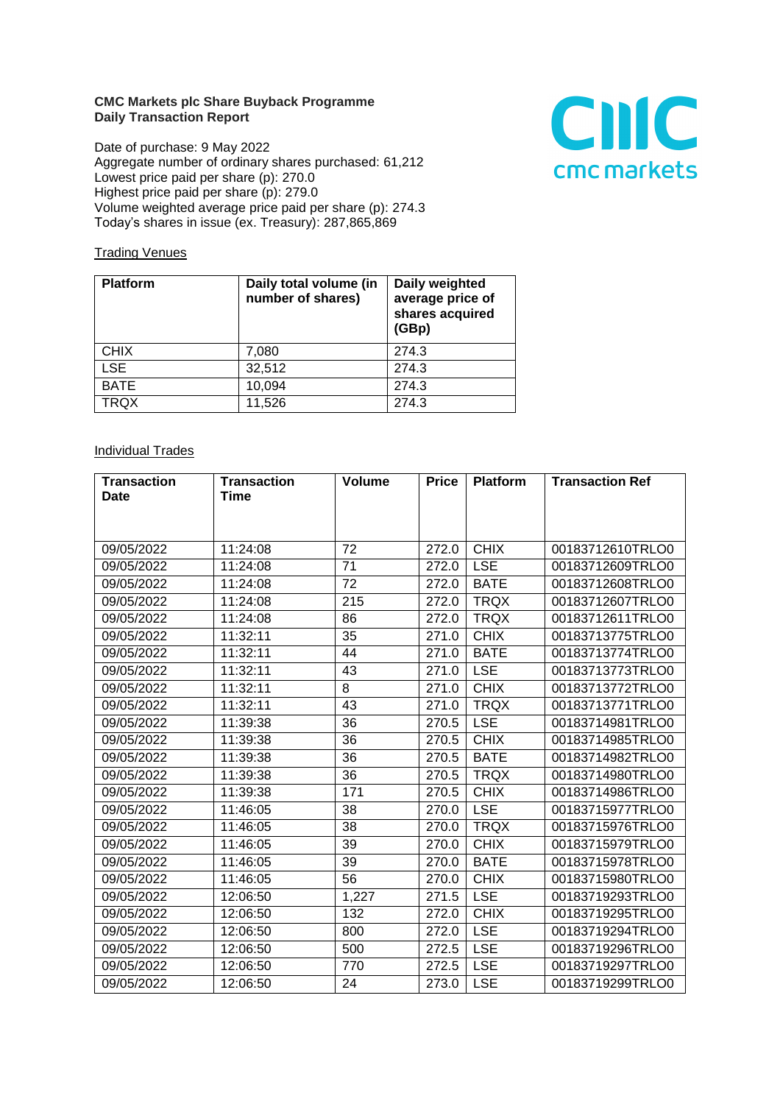## **CMC Markets plc Share Buyback Programme Daily Transaction Report**

Date of purchase: 9 May 2022 Aggregate number of ordinary shares purchased: 61,212 Lowest price paid per share (p): 270.0 Highest price paid per share (p): 279.0 Volume weighted average price paid per share (p): 274.3 Today's shares in issue (ex. Treasury): 287,865,869



## **Trading Venues**

| <b>Platform</b> | Daily total volume (in<br>number of shares) | Daily weighted<br>average price of<br>shares acquired<br>(GBp) |
|-----------------|---------------------------------------------|----------------------------------------------------------------|
| <b>CHIX</b>     | 7,080                                       | 274.3                                                          |
| <b>LSE</b>      | 32,512                                      | 274.3                                                          |
| <b>BATE</b>     | 10,094                                      | 274.3                                                          |
| <b>TRQX</b>     | 11,526                                      | 274.3                                                          |

## **Individual Trades**

| <b>Transaction</b> | <b>Transaction</b> | <b>Volume</b> | <b>Price</b> | <b>Platform</b> | <b>Transaction Ref</b> |
|--------------------|--------------------|---------------|--------------|-----------------|------------------------|
| Date               | Time               |               |              |                 |                        |
|                    |                    |               |              |                 |                        |
|                    |                    |               |              |                 |                        |
| 09/05/2022         | 11:24:08           | 72            | 272.0        | <b>CHIX</b>     | 00183712610TRLO0       |
| 09/05/2022         | 11:24:08           | 71            | 272.0        | <b>LSE</b>      | 00183712609TRLO0       |
| 09/05/2022         | 11:24:08           | 72            | 272.0        | <b>BATE</b>     | 00183712608TRLO0       |
| 09/05/2022         | 11:24:08           | 215           | 272.0        | <b>TRQX</b>     | 00183712607TRLO0       |
| 09/05/2022         | 11:24:08           | 86            | 272.0        | <b>TRQX</b>     | 00183712611TRLO0       |
| 09/05/2022         | 11:32:11           | 35            | 271.0        | <b>CHIX</b>     | 00183713775TRLO0       |
| 09/05/2022         | 11:32:11           | 44            | 271.0        | <b>BATE</b>     | 00183713774TRLO0       |
| 09/05/2022         | 11:32:11           | 43            | 271.0        | <b>LSE</b>      | 00183713773TRLO0       |
| 09/05/2022         | 11:32:11           | 8             | 271.0        | <b>CHIX</b>     | 00183713772TRLO0       |
| 09/05/2022         | 11:32:11           | 43            | 271.0        | <b>TRQX</b>     | 00183713771TRLO0       |
| 09/05/2022         | 11:39:38           | 36            | 270.5        | <b>LSE</b>      | 00183714981TRLO0       |
| 09/05/2022         | 11:39:38           | 36            | 270.5        | <b>CHIX</b>     | 00183714985TRLO0       |
| 09/05/2022         | 11:39:38           | 36            | 270.5        | <b>BATE</b>     | 00183714982TRLO0       |
| 09/05/2022         | 11:39:38           | 36            | 270.5        | <b>TRQX</b>     | 00183714980TRLO0       |
| 09/05/2022         | 11:39:38           | 171           | 270.5        | <b>CHIX</b>     | 00183714986TRLO0       |
| 09/05/2022         | 11:46:05           | 38            | 270.0        | <b>LSE</b>      | 00183715977TRLO0       |
| 09/05/2022         | 11:46:05           | 38            | 270.0        | <b>TRQX</b>     | 00183715976TRLO0       |
| 09/05/2022         | 11:46:05           | 39            | 270.0        | <b>CHIX</b>     | 00183715979TRLO0       |
| 09/05/2022         | 11:46:05           | 39            | 270.0        | <b>BATE</b>     | 00183715978TRLO0       |
| 09/05/2022         | 11:46:05           | 56            | 270.0        | <b>CHIX</b>     | 00183715980TRLO0       |
| 09/05/2022         | 12:06:50           | 1,227         | 271.5        | <b>LSE</b>      | 00183719293TRLO0       |
| 09/05/2022         | 12:06:50           | 132           | 272.0        | <b>CHIX</b>     | 00183719295TRLO0       |
| 09/05/2022         | 12:06:50           | 800           | 272.0        | <b>LSE</b>      | 00183719294TRLO0       |
| 09/05/2022         | 12:06:50           | 500           | 272.5        | <b>LSE</b>      | 00183719296TRLO0       |
| 09/05/2022         | 12:06:50           | 770           | 272.5        | <b>LSE</b>      | 00183719297TRLO0       |
| 09/05/2022         | 12:06:50           | 24            | 273.0        | <b>LSE</b>      | 00183719299TRLO0       |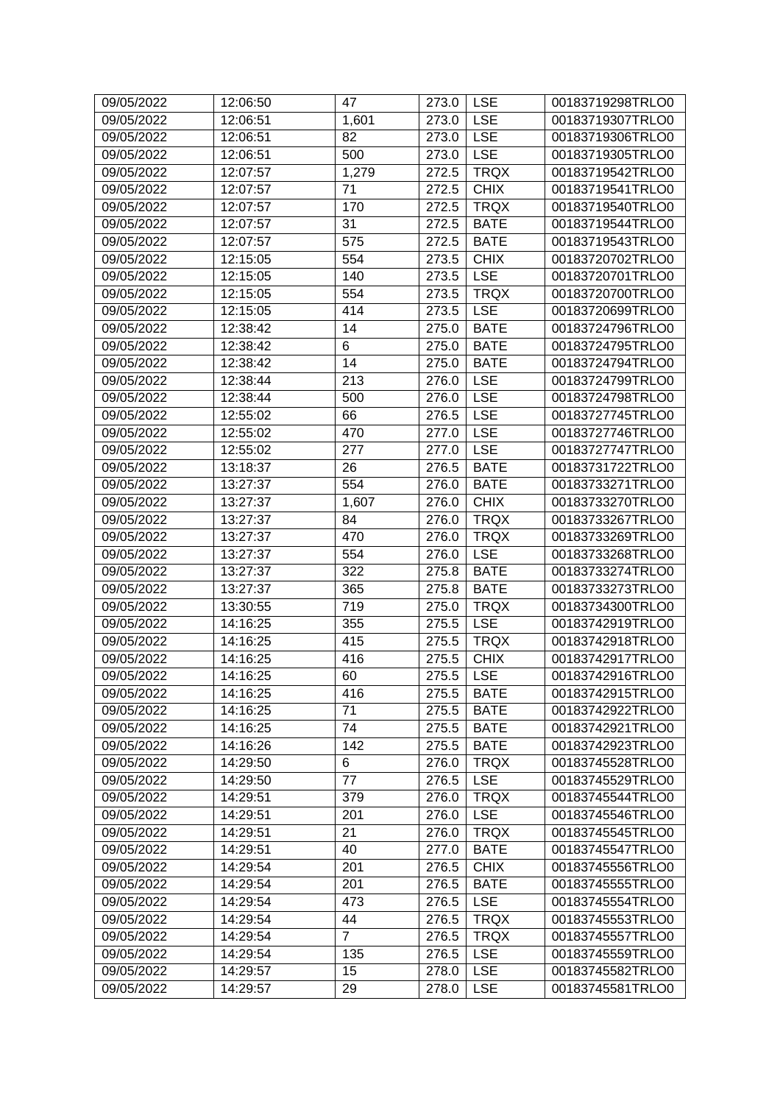| 09/05/2022<br>12:06:51<br>1,601<br>273.0<br><b>LSE</b><br>00183719307TRLO0<br><b>LSE</b><br>09/05/2022<br>82<br>00183719306TRLO0<br>12:06:51<br>273.0<br><b>LSE</b><br>500<br>00183719305TRLO0<br>09/05/2022<br>12:06:51<br>273.0<br><b>TRQX</b><br>00183719542TRLO0<br>09/05/2022<br>12:07:57<br>1,279<br>272.5<br><b>CHIX</b><br>00183719541TRLO0<br>09/05/2022<br>12:07:57<br>71<br>272.5<br>09/05/2022<br>12:07:57<br>170<br>272.5<br><b>TRQX</b><br>00183719540TRLO0<br>31<br><b>BATE</b><br>00183719544TRLO0<br>09/05/2022<br>12:07:57<br>272.5<br>09/05/2022<br>575<br><b>BATE</b><br>00183719543TRLO0<br>12:07:57<br>272.5<br>09/05/2022<br>12:15:05<br>554<br><b>CHIX</b><br>273.5<br>00183720702TRLO0<br><b>LSE</b><br>09/05/2022<br>12:15:05<br>140<br>00183720701TRLO0<br>273.5<br>09/05/2022<br>12:15:05<br>554<br>273.5<br><b>TRQX</b><br>00183720700TRLO0<br><b>LSE</b><br>414<br>09/05/2022<br>12:15:05<br>273.5<br>00183720699TRLO0<br>09/05/2022<br>12:38:42<br>14<br>275.0<br><b>BATE</b><br>00183724796TRLO0<br>6<br>09/05/2022<br>12:38:42<br><b>BATE</b><br>00183724795TRLO0<br>275.0<br>09/05/2022<br>12:38:42<br>14<br><b>BATE</b><br>00183724794TRLO0<br>275.0<br><b>LSE</b><br>09/05/2022<br>12:38:44<br>213<br>00183724799TRLO0<br>276.0<br><b>LSE</b><br>09/05/2022<br>12:38:44<br>500<br>00183724798TRLO0<br>276.0<br><b>LSE</b><br>09/05/2022<br>12:55:02<br>66<br>276.5<br>00183727745TRLO0<br>470<br><b>LSE</b><br>09/05/2022<br>12:55:02<br>00183727746TRLO0<br>277.0<br><b>LSE</b><br>09/05/2022<br>12:55:02<br>00183727747TRLO0<br>277<br>277.0<br>09/05/2022<br>26<br><b>BATE</b><br>00183731722TRLO0<br>13:18:37<br>276.5<br>554<br><b>BATE</b><br>00183733271TRLO0<br>09/05/2022<br>13:27:37<br>276.0<br><b>CHIX</b><br>09/05/2022<br>13:27:37<br>1,607<br>276.0<br>00183733270TRLO0<br><b>TRQX</b><br>00183733267TRLO0<br>09/05/2022<br>13:27:37<br>84<br>276.0<br>09/05/2022<br>13:27:37<br>470<br>276.0<br><b>TRQX</b><br>00183733269TRLO0<br><b>LSE</b><br>09/05/2022<br>13:27:37<br>554<br>00183733268TRLO0<br>276.0<br>322<br>09/05/2022<br>13:27:37<br>275.8<br><b>BATE</b><br>00183733274TRLO0<br>365<br><b>BATE</b><br>09/05/2022<br>13:27:37<br>275.8<br>00183733273TRLO0<br>09/05/2022<br>13:30:55<br>719<br><b>TRQX</b><br>00183734300TRLO0<br>275.0<br><b>LSE</b><br>09/05/2022<br>14:16:25<br>355<br>275.5<br>00183742919TRLO0<br>415<br><b>TRQX</b><br>00183742918TRLO0<br>09/05/2022<br>14:16:25<br>275.5<br>416<br><b>CHIX</b><br>00183742917TRLO0<br>09/05/2022<br>14:16:25<br>275.5<br>09/05/2022<br>275.5<br><b>LSE</b><br>14:16:25<br>60<br>00183742916TRLO0<br>09/05/2022<br>14:16:25<br><b>BATE</b><br>416<br>275.5<br>00183742915TRLO0<br>14:16:25<br>71<br>275.5<br><b>BATE</b><br>09/05/2022<br>00183742922TRLO0<br>74<br><b>BATE</b><br>09/05/2022<br>14:16:25<br>275.5<br>00183742921TRLO0<br>09/05/2022<br>14:16:26<br>142<br>275.5<br><b>BATE</b><br>00183742923TRLO0<br>09/05/2022<br>14:29:50<br>6<br>276.0<br><b>TRQX</b><br>00183745528TRLO0<br>09/05/2022<br>77<br><b>LSE</b><br>00183745529TRLO0<br>14:29:50<br>276.5<br>09/05/2022<br>14:29:51<br>379<br>276.0<br><b>TRQX</b><br>00183745544TRLO0<br><b>LSE</b><br>09/05/2022<br>201<br>276.0<br>00183745546TRLO0<br>14:29:51<br>21<br><b>TRQX</b><br>09/05/2022<br>14:29:51<br>276.0<br>00183745545TRLO0<br><b>BATE</b><br>09/05/2022<br>14:29:51<br>40<br>277.0<br>00183745547TRLO0<br><b>CHIX</b><br>09/05/2022<br>14:29:54<br>201<br>276.5<br>00183745556TRLO0<br>201<br><b>BATE</b><br>09/05/2022<br>14:29:54<br>276.5<br>00183745555TRLO0<br><b>LSE</b><br>09/05/2022<br>14:29:54<br>473<br>276.5<br>00183745554TRLO0<br><b>TRQX</b><br>09/05/2022<br>14:29:54<br>44<br>276.5<br>00183745553TRLO0<br>$\overline{7}$<br><b>TRQX</b><br>09/05/2022<br>14:29:54<br>276.5<br>00183745557TRLO0<br>09/05/2022<br>276.5<br><b>LSE</b><br>14:29:54<br>135<br>00183745559TRLO0<br><b>LSE</b><br>09/05/2022<br>14:29:57<br>15<br>278.0<br>00183745582TRLO0 | 09/05/2022 | 12:06:50 | 47 | 273.0 | <b>LSE</b> | 00183719298TRLO0 |
|-----------------------------------------------------------------------------------------------------------------------------------------------------------------------------------------------------------------------------------------------------------------------------------------------------------------------------------------------------------------------------------------------------------------------------------------------------------------------------------------------------------------------------------------------------------------------------------------------------------------------------------------------------------------------------------------------------------------------------------------------------------------------------------------------------------------------------------------------------------------------------------------------------------------------------------------------------------------------------------------------------------------------------------------------------------------------------------------------------------------------------------------------------------------------------------------------------------------------------------------------------------------------------------------------------------------------------------------------------------------------------------------------------------------------------------------------------------------------------------------------------------------------------------------------------------------------------------------------------------------------------------------------------------------------------------------------------------------------------------------------------------------------------------------------------------------------------------------------------------------------------------------------------------------------------------------------------------------------------------------------------------------------------------------------------------------------------------------------------------------------------------------------------------------------------------------------------------------------------------------------------------------------------------------------------------------------------------------------------------------------------------------------------------------------------------------------------------------------------------------------------------------------------------------------------------------------------------------------------------------------------------------------------------------------------------------------------------------------------------------------------------------------------------------------------------------------------------------------------------------------------------------------------------------------------------------------------------------------------------------------------------------------------------------------------------------------------------------------------------------------------------------------------------------------------------------------------------------------------------------------------------------------------------------------------------------------------------------------------------------------------------------------------------------------------------------------------------------------------------------------------------------------------------------------------------------------------------------------------------------------------------------------------------------------------------------------------------------------------------------------------------------------------------------------------------------------------------------------------------------------------------------------------------------------------------------------------------------------------------|------------|----------|----|-------|------------|------------------|
|                                                                                                                                                                                                                                                                                                                                                                                                                                                                                                                                                                                                                                                                                                                                                                                                                                                                                                                                                                                                                                                                                                                                                                                                                                                                                                                                                                                                                                                                                                                                                                                                                                                                                                                                                                                                                                                                                                                                                                                                                                                                                                                                                                                                                                                                                                                                                                                                                                                                                                                                                                                                                                                                                                                                                                                                                                                                                                                                                                                                                                                                                                                                                                                                                                                                                                                                                                                                                                                                                                                                                                                                                                                                                                                                                                                                                                                                                                                                                                                   |            |          |    |       |            |                  |
|                                                                                                                                                                                                                                                                                                                                                                                                                                                                                                                                                                                                                                                                                                                                                                                                                                                                                                                                                                                                                                                                                                                                                                                                                                                                                                                                                                                                                                                                                                                                                                                                                                                                                                                                                                                                                                                                                                                                                                                                                                                                                                                                                                                                                                                                                                                                                                                                                                                                                                                                                                                                                                                                                                                                                                                                                                                                                                                                                                                                                                                                                                                                                                                                                                                                                                                                                                                                                                                                                                                                                                                                                                                                                                                                                                                                                                                                                                                                                                                   |            |          |    |       |            |                  |
|                                                                                                                                                                                                                                                                                                                                                                                                                                                                                                                                                                                                                                                                                                                                                                                                                                                                                                                                                                                                                                                                                                                                                                                                                                                                                                                                                                                                                                                                                                                                                                                                                                                                                                                                                                                                                                                                                                                                                                                                                                                                                                                                                                                                                                                                                                                                                                                                                                                                                                                                                                                                                                                                                                                                                                                                                                                                                                                                                                                                                                                                                                                                                                                                                                                                                                                                                                                                                                                                                                                                                                                                                                                                                                                                                                                                                                                                                                                                                                                   |            |          |    |       |            |                  |
|                                                                                                                                                                                                                                                                                                                                                                                                                                                                                                                                                                                                                                                                                                                                                                                                                                                                                                                                                                                                                                                                                                                                                                                                                                                                                                                                                                                                                                                                                                                                                                                                                                                                                                                                                                                                                                                                                                                                                                                                                                                                                                                                                                                                                                                                                                                                                                                                                                                                                                                                                                                                                                                                                                                                                                                                                                                                                                                                                                                                                                                                                                                                                                                                                                                                                                                                                                                                                                                                                                                                                                                                                                                                                                                                                                                                                                                                                                                                                                                   |            |          |    |       |            |                  |
|                                                                                                                                                                                                                                                                                                                                                                                                                                                                                                                                                                                                                                                                                                                                                                                                                                                                                                                                                                                                                                                                                                                                                                                                                                                                                                                                                                                                                                                                                                                                                                                                                                                                                                                                                                                                                                                                                                                                                                                                                                                                                                                                                                                                                                                                                                                                                                                                                                                                                                                                                                                                                                                                                                                                                                                                                                                                                                                                                                                                                                                                                                                                                                                                                                                                                                                                                                                                                                                                                                                                                                                                                                                                                                                                                                                                                                                                                                                                                                                   |            |          |    |       |            |                  |
|                                                                                                                                                                                                                                                                                                                                                                                                                                                                                                                                                                                                                                                                                                                                                                                                                                                                                                                                                                                                                                                                                                                                                                                                                                                                                                                                                                                                                                                                                                                                                                                                                                                                                                                                                                                                                                                                                                                                                                                                                                                                                                                                                                                                                                                                                                                                                                                                                                                                                                                                                                                                                                                                                                                                                                                                                                                                                                                                                                                                                                                                                                                                                                                                                                                                                                                                                                                                                                                                                                                                                                                                                                                                                                                                                                                                                                                                                                                                                                                   |            |          |    |       |            |                  |
|                                                                                                                                                                                                                                                                                                                                                                                                                                                                                                                                                                                                                                                                                                                                                                                                                                                                                                                                                                                                                                                                                                                                                                                                                                                                                                                                                                                                                                                                                                                                                                                                                                                                                                                                                                                                                                                                                                                                                                                                                                                                                                                                                                                                                                                                                                                                                                                                                                                                                                                                                                                                                                                                                                                                                                                                                                                                                                                                                                                                                                                                                                                                                                                                                                                                                                                                                                                                                                                                                                                                                                                                                                                                                                                                                                                                                                                                                                                                                                                   |            |          |    |       |            |                  |
|                                                                                                                                                                                                                                                                                                                                                                                                                                                                                                                                                                                                                                                                                                                                                                                                                                                                                                                                                                                                                                                                                                                                                                                                                                                                                                                                                                                                                                                                                                                                                                                                                                                                                                                                                                                                                                                                                                                                                                                                                                                                                                                                                                                                                                                                                                                                                                                                                                                                                                                                                                                                                                                                                                                                                                                                                                                                                                                                                                                                                                                                                                                                                                                                                                                                                                                                                                                                                                                                                                                                                                                                                                                                                                                                                                                                                                                                                                                                                                                   |            |          |    |       |            |                  |
|                                                                                                                                                                                                                                                                                                                                                                                                                                                                                                                                                                                                                                                                                                                                                                                                                                                                                                                                                                                                                                                                                                                                                                                                                                                                                                                                                                                                                                                                                                                                                                                                                                                                                                                                                                                                                                                                                                                                                                                                                                                                                                                                                                                                                                                                                                                                                                                                                                                                                                                                                                                                                                                                                                                                                                                                                                                                                                                                                                                                                                                                                                                                                                                                                                                                                                                                                                                                                                                                                                                                                                                                                                                                                                                                                                                                                                                                                                                                                                                   |            |          |    |       |            |                  |
|                                                                                                                                                                                                                                                                                                                                                                                                                                                                                                                                                                                                                                                                                                                                                                                                                                                                                                                                                                                                                                                                                                                                                                                                                                                                                                                                                                                                                                                                                                                                                                                                                                                                                                                                                                                                                                                                                                                                                                                                                                                                                                                                                                                                                                                                                                                                                                                                                                                                                                                                                                                                                                                                                                                                                                                                                                                                                                                                                                                                                                                                                                                                                                                                                                                                                                                                                                                                                                                                                                                                                                                                                                                                                                                                                                                                                                                                                                                                                                                   |            |          |    |       |            |                  |
|                                                                                                                                                                                                                                                                                                                                                                                                                                                                                                                                                                                                                                                                                                                                                                                                                                                                                                                                                                                                                                                                                                                                                                                                                                                                                                                                                                                                                                                                                                                                                                                                                                                                                                                                                                                                                                                                                                                                                                                                                                                                                                                                                                                                                                                                                                                                                                                                                                                                                                                                                                                                                                                                                                                                                                                                                                                                                                                                                                                                                                                                                                                                                                                                                                                                                                                                                                                                                                                                                                                                                                                                                                                                                                                                                                                                                                                                                                                                                                                   |            |          |    |       |            |                  |
|                                                                                                                                                                                                                                                                                                                                                                                                                                                                                                                                                                                                                                                                                                                                                                                                                                                                                                                                                                                                                                                                                                                                                                                                                                                                                                                                                                                                                                                                                                                                                                                                                                                                                                                                                                                                                                                                                                                                                                                                                                                                                                                                                                                                                                                                                                                                                                                                                                                                                                                                                                                                                                                                                                                                                                                                                                                                                                                                                                                                                                                                                                                                                                                                                                                                                                                                                                                                                                                                                                                                                                                                                                                                                                                                                                                                                                                                                                                                                                                   |            |          |    |       |            |                  |
|                                                                                                                                                                                                                                                                                                                                                                                                                                                                                                                                                                                                                                                                                                                                                                                                                                                                                                                                                                                                                                                                                                                                                                                                                                                                                                                                                                                                                                                                                                                                                                                                                                                                                                                                                                                                                                                                                                                                                                                                                                                                                                                                                                                                                                                                                                                                                                                                                                                                                                                                                                                                                                                                                                                                                                                                                                                                                                                                                                                                                                                                                                                                                                                                                                                                                                                                                                                                                                                                                                                                                                                                                                                                                                                                                                                                                                                                                                                                                                                   |            |          |    |       |            |                  |
|                                                                                                                                                                                                                                                                                                                                                                                                                                                                                                                                                                                                                                                                                                                                                                                                                                                                                                                                                                                                                                                                                                                                                                                                                                                                                                                                                                                                                                                                                                                                                                                                                                                                                                                                                                                                                                                                                                                                                                                                                                                                                                                                                                                                                                                                                                                                                                                                                                                                                                                                                                                                                                                                                                                                                                                                                                                                                                                                                                                                                                                                                                                                                                                                                                                                                                                                                                                                                                                                                                                                                                                                                                                                                                                                                                                                                                                                                                                                                                                   |            |          |    |       |            |                  |
|                                                                                                                                                                                                                                                                                                                                                                                                                                                                                                                                                                                                                                                                                                                                                                                                                                                                                                                                                                                                                                                                                                                                                                                                                                                                                                                                                                                                                                                                                                                                                                                                                                                                                                                                                                                                                                                                                                                                                                                                                                                                                                                                                                                                                                                                                                                                                                                                                                                                                                                                                                                                                                                                                                                                                                                                                                                                                                                                                                                                                                                                                                                                                                                                                                                                                                                                                                                                                                                                                                                                                                                                                                                                                                                                                                                                                                                                                                                                                                                   |            |          |    |       |            |                  |
|                                                                                                                                                                                                                                                                                                                                                                                                                                                                                                                                                                                                                                                                                                                                                                                                                                                                                                                                                                                                                                                                                                                                                                                                                                                                                                                                                                                                                                                                                                                                                                                                                                                                                                                                                                                                                                                                                                                                                                                                                                                                                                                                                                                                                                                                                                                                                                                                                                                                                                                                                                                                                                                                                                                                                                                                                                                                                                                                                                                                                                                                                                                                                                                                                                                                                                                                                                                                                                                                                                                                                                                                                                                                                                                                                                                                                                                                                                                                                                                   |            |          |    |       |            |                  |
|                                                                                                                                                                                                                                                                                                                                                                                                                                                                                                                                                                                                                                                                                                                                                                                                                                                                                                                                                                                                                                                                                                                                                                                                                                                                                                                                                                                                                                                                                                                                                                                                                                                                                                                                                                                                                                                                                                                                                                                                                                                                                                                                                                                                                                                                                                                                                                                                                                                                                                                                                                                                                                                                                                                                                                                                                                                                                                                                                                                                                                                                                                                                                                                                                                                                                                                                                                                                                                                                                                                                                                                                                                                                                                                                                                                                                                                                                                                                                                                   |            |          |    |       |            |                  |
|                                                                                                                                                                                                                                                                                                                                                                                                                                                                                                                                                                                                                                                                                                                                                                                                                                                                                                                                                                                                                                                                                                                                                                                                                                                                                                                                                                                                                                                                                                                                                                                                                                                                                                                                                                                                                                                                                                                                                                                                                                                                                                                                                                                                                                                                                                                                                                                                                                                                                                                                                                                                                                                                                                                                                                                                                                                                                                                                                                                                                                                                                                                                                                                                                                                                                                                                                                                                                                                                                                                                                                                                                                                                                                                                                                                                                                                                                                                                                                                   |            |          |    |       |            |                  |
|                                                                                                                                                                                                                                                                                                                                                                                                                                                                                                                                                                                                                                                                                                                                                                                                                                                                                                                                                                                                                                                                                                                                                                                                                                                                                                                                                                                                                                                                                                                                                                                                                                                                                                                                                                                                                                                                                                                                                                                                                                                                                                                                                                                                                                                                                                                                                                                                                                                                                                                                                                                                                                                                                                                                                                                                                                                                                                                                                                                                                                                                                                                                                                                                                                                                                                                                                                                                                                                                                                                                                                                                                                                                                                                                                                                                                                                                                                                                                                                   |            |          |    |       |            |                  |
|                                                                                                                                                                                                                                                                                                                                                                                                                                                                                                                                                                                                                                                                                                                                                                                                                                                                                                                                                                                                                                                                                                                                                                                                                                                                                                                                                                                                                                                                                                                                                                                                                                                                                                                                                                                                                                                                                                                                                                                                                                                                                                                                                                                                                                                                                                                                                                                                                                                                                                                                                                                                                                                                                                                                                                                                                                                                                                                                                                                                                                                                                                                                                                                                                                                                                                                                                                                                                                                                                                                                                                                                                                                                                                                                                                                                                                                                                                                                                                                   |            |          |    |       |            |                  |
|                                                                                                                                                                                                                                                                                                                                                                                                                                                                                                                                                                                                                                                                                                                                                                                                                                                                                                                                                                                                                                                                                                                                                                                                                                                                                                                                                                                                                                                                                                                                                                                                                                                                                                                                                                                                                                                                                                                                                                                                                                                                                                                                                                                                                                                                                                                                                                                                                                                                                                                                                                                                                                                                                                                                                                                                                                                                                                                                                                                                                                                                                                                                                                                                                                                                                                                                                                                                                                                                                                                                                                                                                                                                                                                                                                                                                                                                                                                                                                                   |            |          |    |       |            |                  |
|                                                                                                                                                                                                                                                                                                                                                                                                                                                                                                                                                                                                                                                                                                                                                                                                                                                                                                                                                                                                                                                                                                                                                                                                                                                                                                                                                                                                                                                                                                                                                                                                                                                                                                                                                                                                                                                                                                                                                                                                                                                                                                                                                                                                                                                                                                                                                                                                                                                                                                                                                                                                                                                                                                                                                                                                                                                                                                                                                                                                                                                                                                                                                                                                                                                                                                                                                                                                                                                                                                                                                                                                                                                                                                                                                                                                                                                                                                                                                                                   |            |          |    |       |            |                  |
|                                                                                                                                                                                                                                                                                                                                                                                                                                                                                                                                                                                                                                                                                                                                                                                                                                                                                                                                                                                                                                                                                                                                                                                                                                                                                                                                                                                                                                                                                                                                                                                                                                                                                                                                                                                                                                                                                                                                                                                                                                                                                                                                                                                                                                                                                                                                                                                                                                                                                                                                                                                                                                                                                                                                                                                                                                                                                                                                                                                                                                                                                                                                                                                                                                                                                                                                                                                                                                                                                                                                                                                                                                                                                                                                                                                                                                                                                                                                                                                   |            |          |    |       |            |                  |
|                                                                                                                                                                                                                                                                                                                                                                                                                                                                                                                                                                                                                                                                                                                                                                                                                                                                                                                                                                                                                                                                                                                                                                                                                                                                                                                                                                                                                                                                                                                                                                                                                                                                                                                                                                                                                                                                                                                                                                                                                                                                                                                                                                                                                                                                                                                                                                                                                                                                                                                                                                                                                                                                                                                                                                                                                                                                                                                                                                                                                                                                                                                                                                                                                                                                                                                                                                                                                                                                                                                                                                                                                                                                                                                                                                                                                                                                                                                                                                                   |            |          |    |       |            |                  |
|                                                                                                                                                                                                                                                                                                                                                                                                                                                                                                                                                                                                                                                                                                                                                                                                                                                                                                                                                                                                                                                                                                                                                                                                                                                                                                                                                                                                                                                                                                                                                                                                                                                                                                                                                                                                                                                                                                                                                                                                                                                                                                                                                                                                                                                                                                                                                                                                                                                                                                                                                                                                                                                                                                                                                                                                                                                                                                                                                                                                                                                                                                                                                                                                                                                                                                                                                                                                                                                                                                                                                                                                                                                                                                                                                                                                                                                                                                                                                                                   |            |          |    |       |            |                  |
|                                                                                                                                                                                                                                                                                                                                                                                                                                                                                                                                                                                                                                                                                                                                                                                                                                                                                                                                                                                                                                                                                                                                                                                                                                                                                                                                                                                                                                                                                                                                                                                                                                                                                                                                                                                                                                                                                                                                                                                                                                                                                                                                                                                                                                                                                                                                                                                                                                                                                                                                                                                                                                                                                                                                                                                                                                                                                                                                                                                                                                                                                                                                                                                                                                                                                                                                                                                                                                                                                                                                                                                                                                                                                                                                                                                                                                                                                                                                                                                   |            |          |    |       |            |                  |
|                                                                                                                                                                                                                                                                                                                                                                                                                                                                                                                                                                                                                                                                                                                                                                                                                                                                                                                                                                                                                                                                                                                                                                                                                                                                                                                                                                                                                                                                                                                                                                                                                                                                                                                                                                                                                                                                                                                                                                                                                                                                                                                                                                                                                                                                                                                                                                                                                                                                                                                                                                                                                                                                                                                                                                                                                                                                                                                                                                                                                                                                                                                                                                                                                                                                                                                                                                                                                                                                                                                                                                                                                                                                                                                                                                                                                                                                                                                                                                                   |            |          |    |       |            |                  |
|                                                                                                                                                                                                                                                                                                                                                                                                                                                                                                                                                                                                                                                                                                                                                                                                                                                                                                                                                                                                                                                                                                                                                                                                                                                                                                                                                                                                                                                                                                                                                                                                                                                                                                                                                                                                                                                                                                                                                                                                                                                                                                                                                                                                                                                                                                                                                                                                                                                                                                                                                                                                                                                                                                                                                                                                                                                                                                                                                                                                                                                                                                                                                                                                                                                                                                                                                                                                                                                                                                                                                                                                                                                                                                                                                                                                                                                                                                                                                                                   |            |          |    |       |            |                  |
|                                                                                                                                                                                                                                                                                                                                                                                                                                                                                                                                                                                                                                                                                                                                                                                                                                                                                                                                                                                                                                                                                                                                                                                                                                                                                                                                                                                                                                                                                                                                                                                                                                                                                                                                                                                                                                                                                                                                                                                                                                                                                                                                                                                                                                                                                                                                                                                                                                                                                                                                                                                                                                                                                                                                                                                                                                                                                                                                                                                                                                                                                                                                                                                                                                                                                                                                                                                                                                                                                                                                                                                                                                                                                                                                                                                                                                                                                                                                                                                   |            |          |    |       |            |                  |
|                                                                                                                                                                                                                                                                                                                                                                                                                                                                                                                                                                                                                                                                                                                                                                                                                                                                                                                                                                                                                                                                                                                                                                                                                                                                                                                                                                                                                                                                                                                                                                                                                                                                                                                                                                                                                                                                                                                                                                                                                                                                                                                                                                                                                                                                                                                                                                                                                                                                                                                                                                                                                                                                                                                                                                                                                                                                                                                                                                                                                                                                                                                                                                                                                                                                                                                                                                                                                                                                                                                                                                                                                                                                                                                                                                                                                                                                                                                                                                                   |            |          |    |       |            |                  |
|                                                                                                                                                                                                                                                                                                                                                                                                                                                                                                                                                                                                                                                                                                                                                                                                                                                                                                                                                                                                                                                                                                                                                                                                                                                                                                                                                                                                                                                                                                                                                                                                                                                                                                                                                                                                                                                                                                                                                                                                                                                                                                                                                                                                                                                                                                                                                                                                                                                                                                                                                                                                                                                                                                                                                                                                                                                                                                                                                                                                                                                                                                                                                                                                                                                                                                                                                                                                                                                                                                                                                                                                                                                                                                                                                                                                                                                                                                                                                                                   |            |          |    |       |            |                  |
|                                                                                                                                                                                                                                                                                                                                                                                                                                                                                                                                                                                                                                                                                                                                                                                                                                                                                                                                                                                                                                                                                                                                                                                                                                                                                                                                                                                                                                                                                                                                                                                                                                                                                                                                                                                                                                                                                                                                                                                                                                                                                                                                                                                                                                                                                                                                                                                                                                                                                                                                                                                                                                                                                                                                                                                                                                                                                                                                                                                                                                                                                                                                                                                                                                                                                                                                                                                                                                                                                                                                                                                                                                                                                                                                                                                                                                                                                                                                                                                   |            |          |    |       |            |                  |
|                                                                                                                                                                                                                                                                                                                                                                                                                                                                                                                                                                                                                                                                                                                                                                                                                                                                                                                                                                                                                                                                                                                                                                                                                                                                                                                                                                                                                                                                                                                                                                                                                                                                                                                                                                                                                                                                                                                                                                                                                                                                                                                                                                                                                                                                                                                                                                                                                                                                                                                                                                                                                                                                                                                                                                                                                                                                                                                                                                                                                                                                                                                                                                                                                                                                                                                                                                                                                                                                                                                                                                                                                                                                                                                                                                                                                                                                                                                                                                                   |            |          |    |       |            |                  |
|                                                                                                                                                                                                                                                                                                                                                                                                                                                                                                                                                                                                                                                                                                                                                                                                                                                                                                                                                                                                                                                                                                                                                                                                                                                                                                                                                                                                                                                                                                                                                                                                                                                                                                                                                                                                                                                                                                                                                                                                                                                                                                                                                                                                                                                                                                                                                                                                                                                                                                                                                                                                                                                                                                                                                                                                                                                                                                                                                                                                                                                                                                                                                                                                                                                                                                                                                                                                                                                                                                                                                                                                                                                                                                                                                                                                                                                                                                                                                                                   |            |          |    |       |            |                  |
|                                                                                                                                                                                                                                                                                                                                                                                                                                                                                                                                                                                                                                                                                                                                                                                                                                                                                                                                                                                                                                                                                                                                                                                                                                                                                                                                                                                                                                                                                                                                                                                                                                                                                                                                                                                                                                                                                                                                                                                                                                                                                                                                                                                                                                                                                                                                                                                                                                                                                                                                                                                                                                                                                                                                                                                                                                                                                                                                                                                                                                                                                                                                                                                                                                                                                                                                                                                                                                                                                                                                                                                                                                                                                                                                                                                                                                                                                                                                                                                   |            |          |    |       |            |                  |
|                                                                                                                                                                                                                                                                                                                                                                                                                                                                                                                                                                                                                                                                                                                                                                                                                                                                                                                                                                                                                                                                                                                                                                                                                                                                                                                                                                                                                                                                                                                                                                                                                                                                                                                                                                                                                                                                                                                                                                                                                                                                                                                                                                                                                                                                                                                                                                                                                                                                                                                                                                                                                                                                                                                                                                                                                                                                                                                                                                                                                                                                                                                                                                                                                                                                                                                                                                                                                                                                                                                                                                                                                                                                                                                                                                                                                                                                                                                                                                                   |            |          |    |       |            |                  |
|                                                                                                                                                                                                                                                                                                                                                                                                                                                                                                                                                                                                                                                                                                                                                                                                                                                                                                                                                                                                                                                                                                                                                                                                                                                                                                                                                                                                                                                                                                                                                                                                                                                                                                                                                                                                                                                                                                                                                                                                                                                                                                                                                                                                                                                                                                                                                                                                                                                                                                                                                                                                                                                                                                                                                                                                                                                                                                                                                                                                                                                                                                                                                                                                                                                                                                                                                                                                                                                                                                                                                                                                                                                                                                                                                                                                                                                                                                                                                                                   |            |          |    |       |            |                  |
|                                                                                                                                                                                                                                                                                                                                                                                                                                                                                                                                                                                                                                                                                                                                                                                                                                                                                                                                                                                                                                                                                                                                                                                                                                                                                                                                                                                                                                                                                                                                                                                                                                                                                                                                                                                                                                                                                                                                                                                                                                                                                                                                                                                                                                                                                                                                                                                                                                                                                                                                                                                                                                                                                                                                                                                                                                                                                                                                                                                                                                                                                                                                                                                                                                                                                                                                                                                                                                                                                                                                                                                                                                                                                                                                                                                                                                                                                                                                                                                   |            |          |    |       |            |                  |
|                                                                                                                                                                                                                                                                                                                                                                                                                                                                                                                                                                                                                                                                                                                                                                                                                                                                                                                                                                                                                                                                                                                                                                                                                                                                                                                                                                                                                                                                                                                                                                                                                                                                                                                                                                                                                                                                                                                                                                                                                                                                                                                                                                                                                                                                                                                                                                                                                                                                                                                                                                                                                                                                                                                                                                                                                                                                                                                                                                                                                                                                                                                                                                                                                                                                                                                                                                                                                                                                                                                                                                                                                                                                                                                                                                                                                                                                                                                                                                                   |            |          |    |       |            |                  |
|                                                                                                                                                                                                                                                                                                                                                                                                                                                                                                                                                                                                                                                                                                                                                                                                                                                                                                                                                                                                                                                                                                                                                                                                                                                                                                                                                                                                                                                                                                                                                                                                                                                                                                                                                                                                                                                                                                                                                                                                                                                                                                                                                                                                                                                                                                                                                                                                                                                                                                                                                                                                                                                                                                                                                                                                                                                                                                                                                                                                                                                                                                                                                                                                                                                                                                                                                                                                                                                                                                                                                                                                                                                                                                                                                                                                                                                                                                                                                                                   |            |          |    |       |            |                  |
|                                                                                                                                                                                                                                                                                                                                                                                                                                                                                                                                                                                                                                                                                                                                                                                                                                                                                                                                                                                                                                                                                                                                                                                                                                                                                                                                                                                                                                                                                                                                                                                                                                                                                                                                                                                                                                                                                                                                                                                                                                                                                                                                                                                                                                                                                                                                                                                                                                                                                                                                                                                                                                                                                                                                                                                                                                                                                                                                                                                                                                                                                                                                                                                                                                                                                                                                                                                                                                                                                                                                                                                                                                                                                                                                                                                                                                                                                                                                                                                   |            |          |    |       |            |                  |
|                                                                                                                                                                                                                                                                                                                                                                                                                                                                                                                                                                                                                                                                                                                                                                                                                                                                                                                                                                                                                                                                                                                                                                                                                                                                                                                                                                                                                                                                                                                                                                                                                                                                                                                                                                                                                                                                                                                                                                                                                                                                                                                                                                                                                                                                                                                                                                                                                                                                                                                                                                                                                                                                                                                                                                                                                                                                                                                                                                                                                                                                                                                                                                                                                                                                                                                                                                                                                                                                                                                                                                                                                                                                                                                                                                                                                                                                                                                                                                                   |            |          |    |       |            |                  |
|                                                                                                                                                                                                                                                                                                                                                                                                                                                                                                                                                                                                                                                                                                                                                                                                                                                                                                                                                                                                                                                                                                                                                                                                                                                                                                                                                                                                                                                                                                                                                                                                                                                                                                                                                                                                                                                                                                                                                                                                                                                                                                                                                                                                                                                                                                                                                                                                                                                                                                                                                                                                                                                                                                                                                                                                                                                                                                                                                                                                                                                                                                                                                                                                                                                                                                                                                                                                                                                                                                                                                                                                                                                                                                                                                                                                                                                                                                                                                                                   |            |          |    |       |            |                  |
|                                                                                                                                                                                                                                                                                                                                                                                                                                                                                                                                                                                                                                                                                                                                                                                                                                                                                                                                                                                                                                                                                                                                                                                                                                                                                                                                                                                                                                                                                                                                                                                                                                                                                                                                                                                                                                                                                                                                                                                                                                                                                                                                                                                                                                                                                                                                                                                                                                                                                                                                                                                                                                                                                                                                                                                                                                                                                                                                                                                                                                                                                                                                                                                                                                                                                                                                                                                                                                                                                                                                                                                                                                                                                                                                                                                                                                                                                                                                                                                   |            |          |    |       |            |                  |
|                                                                                                                                                                                                                                                                                                                                                                                                                                                                                                                                                                                                                                                                                                                                                                                                                                                                                                                                                                                                                                                                                                                                                                                                                                                                                                                                                                                                                                                                                                                                                                                                                                                                                                                                                                                                                                                                                                                                                                                                                                                                                                                                                                                                                                                                                                                                                                                                                                                                                                                                                                                                                                                                                                                                                                                                                                                                                                                                                                                                                                                                                                                                                                                                                                                                                                                                                                                                                                                                                                                                                                                                                                                                                                                                                                                                                                                                                                                                                                                   |            |          |    |       |            |                  |
|                                                                                                                                                                                                                                                                                                                                                                                                                                                                                                                                                                                                                                                                                                                                                                                                                                                                                                                                                                                                                                                                                                                                                                                                                                                                                                                                                                                                                                                                                                                                                                                                                                                                                                                                                                                                                                                                                                                                                                                                                                                                                                                                                                                                                                                                                                                                                                                                                                                                                                                                                                                                                                                                                                                                                                                                                                                                                                                                                                                                                                                                                                                                                                                                                                                                                                                                                                                                                                                                                                                                                                                                                                                                                                                                                                                                                                                                                                                                                                                   |            |          |    |       |            |                  |
|                                                                                                                                                                                                                                                                                                                                                                                                                                                                                                                                                                                                                                                                                                                                                                                                                                                                                                                                                                                                                                                                                                                                                                                                                                                                                                                                                                                                                                                                                                                                                                                                                                                                                                                                                                                                                                                                                                                                                                                                                                                                                                                                                                                                                                                                                                                                                                                                                                                                                                                                                                                                                                                                                                                                                                                                                                                                                                                                                                                                                                                                                                                                                                                                                                                                                                                                                                                                                                                                                                                                                                                                                                                                                                                                                                                                                                                                                                                                                                                   |            |          |    |       |            |                  |
|                                                                                                                                                                                                                                                                                                                                                                                                                                                                                                                                                                                                                                                                                                                                                                                                                                                                                                                                                                                                                                                                                                                                                                                                                                                                                                                                                                                                                                                                                                                                                                                                                                                                                                                                                                                                                                                                                                                                                                                                                                                                                                                                                                                                                                                                                                                                                                                                                                                                                                                                                                                                                                                                                                                                                                                                                                                                                                                                                                                                                                                                                                                                                                                                                                                                                                                                                                                                                                                                                                                                                                                                                                                                                                                                                                                                                                                                                                                                                                                   |            |          |    |       |            |                  |
|                                                                                                                                                                                                                                                                                                                                                                                                                                                                                                                                                                                                                                                                                                                                                                                                                                                                                                                                                                                                                                                                                                                                                                                                                                                                                                                                                                                                                                                                                                                                                                                                                                                                                                                                                                                                                                                                                                                                                                                                                                                                                                                                                                                                                                                                                                                                                                                                                                                                                                                                                                                                                                                                                                                                                                                                                                                                                                                                                                                                                                                                                                                                                                                                                                                                                                                                                                                                                                                                                                                                                                                                                                                                                                                                                                                                                                                                                                                                                                                   |            |          |    |       |            |                  |
|                                                                                                                                                                                                                                                                                                                                                                                                                                                                                                                                                                                                                                                                                                                                                                                                                                                                                                                                                                                                                                                                                                                                                                                                                                                                                                                                                                                                                                                                                                                                                                                                                                                                                                                                                                                                                                                                                                                                                                                                                                                                                                                                                                                                                                                                                                                                                                                                                                                                                                                                                                                                                                                                                                                                                                                                                                                                                                                                                                                                                                                                                                                                                                                                                                                                                                                                                                                                                                                                                                                                                                                                                                                                                                                                                                                                                                                                                                                                                                                   |            |          |    |       |            |                  |
|                                                                                                                                                                                                                                                                                                                                                                                                                                                                                                                                                                                                                                                                                                                                                                                                                                                                                                                                                                                                                                                                                                                                                                                                                                                                                                                                                                                                                                                                                                                                                                                                                                                                                                                                                                                                                                                                                                                                                                                                                                                                                                                                                                                                                                                                                                                                                                                                                                                                                                                                                                                                                                                                                                                                                                                                                                                                                                                                                                                                                                                                                                                                                                                                                                                                                                                                                                                                                                                                                                                                                                                                                                                                                                                                                                                                                                                                                                                                                                                   |            |          |    |       |            |                  |
|                                                                                                                                                                                                                                                                                                                                                                                                                                                                                                                                                                                                                                                                                                                                                                                                                                                                                                                                                                                                                                                                                                                                                                                                                                                                                                                                                                                                                                                                                                                                                                                                                                                                                                                                                                                                                                                                                                                                                                                                                                                                                                                                                                                                                                                                                                                                                                                                                                                                                                                                                                                                                                                                                                                                                                                                                                                                                                                                                                                                                                                                                                                                                                                                                                                                                                                                                                                                                                                                                                                                                                                                                                                                                                                                                                                                                                                                                                                                                                                   | 09/05/2022 | 14:29:57 | 29 | 278.0 | <b>LSE</b> | 00183745581TRLO0 |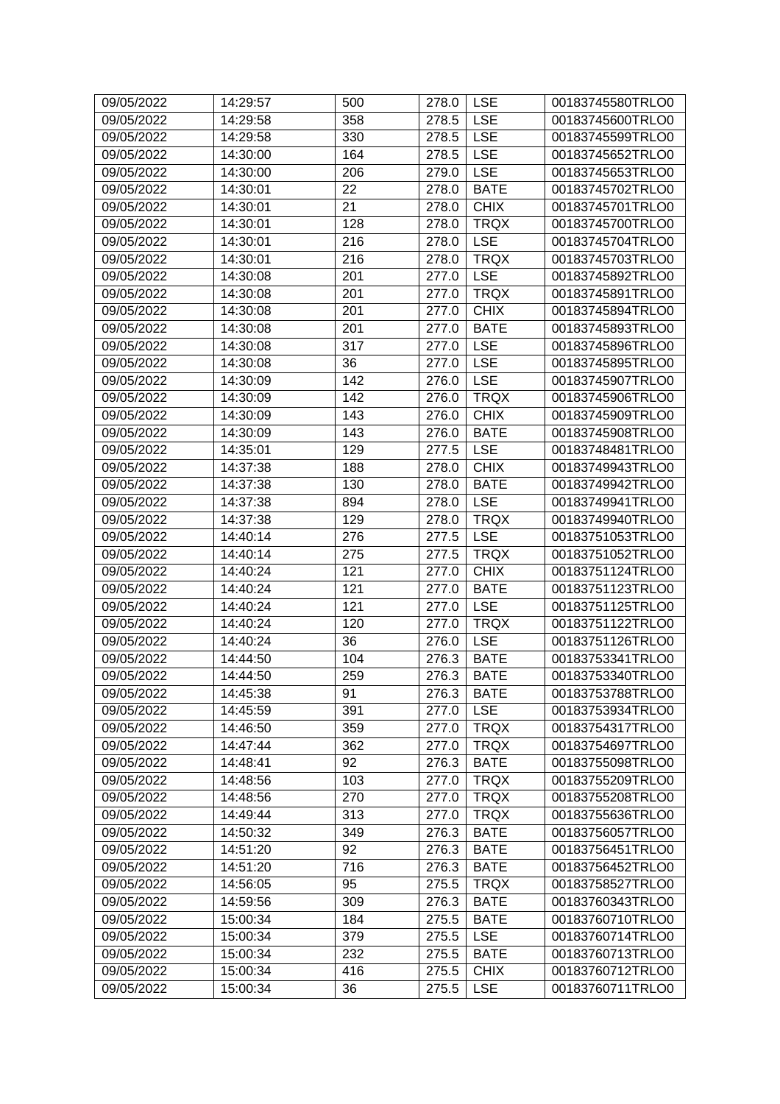| 09/05/2022 | 14:29:57 | 500 | 278.0 | <b>LSE</b>  | 00183745580TRLO0 |
|------------|----------|-----|-------|-------------|------------------|
| 09/05/2022 | 14:29:58 | 358 | 278.5 | <b>LSE</b>  | 00183745600TRLO0 |
| 09/05/2022 | 14:29:58 | 330 | 278.5 | <b>LSE</b>  | 00183745599TRLO0 |
| 09/05/2022 | 14:30:00 | 164 | 278.5 | <b>LSE</b>  | 00183745652TRLO0 |
| 09/05/2022 | 14:30:00 | 206 | 279.0 | <b>LSE</b>  | 00183745653TRLO0 |
| 09/05/2022 | 14:30:01 | 22  | 278.0 | <b>BATE</b> | 00183745702TRLO0 |
| 09/05/2022 | 14:30:01 | 21  | 278.0 | <b>CHIX</b> | 00183745701TRLO0 |
| 09/05/2022 | 14:30:01 | 128 | 278.0 | <b>TRQX</b> | 00183745700TRLO0 |
| 09/05/2022 | 14:30:01 | 216 | 278.0 | <b>LSE</b>  | 00183745704TRLO0 |
| 09/05/2022 | 14:30:01 | 216 | 278.0 | <b>TRQX</b> | 00183745703TRLO0 |
| 09/05/2022 | 14:30:08 | 201 | 277.0 | <b>LSE</b>  | 00183745892TRLO0 |
| 09/05/2022 | 14:30:08 | 201 | 277.0 | <b>TRQX</b> | 00183745891TRLO0 |
| 09/05/2022 | 14:30:08 | 201 | 277.0 | <b>CHIX</b> | 00183745894TRLO0 |
| 09/05/2022 | 14:30:08 | 201 | 277.0 | <b>BATE</b> | 00183745893TRLO0 |
| 09/05/2022 | 14:30:08 | 317 | 277.0 | <b>LSE</b>  | 00183745896TRLO0 |
| 09/05/2022 | 14:30:08 | 36  | 277.0 | <b>LSE</b>  | 00183745895TRLO0 |
| 09/05/2022 | 14:30:09 | 142 | 276.0 | <b>LSE</b>  | 00183745907TRLO0 |
| 09/05/2022 | 14:30:09 | 142 | 276.0 | <b>TRQX</b> | 00183745906TRLO0 |
| 09/05/2022 | 14:30:09 | 143 | 276.0 | <b>CHIX</b> | 00183745909TRLO0 |
| 09/05/2022 | 14:30:09 | 143 | 276.0 | <b>BATE</b> | 00183745908TRLO0 |
| 09/05/2022 | 14:35:01 | 129 | 277.5 | <b>LSE</b>  | 00183748481TRLO0 |
| 09/05/2022 | 14:37:38 | 188 | 278.0 | <b>CHIX</b> | 00183749943TRLO0 |
| 09/05/2022 | 14:37:38 | 130 | 278.0 | <b>BATE</b> | 00183749942TRLO0 |
| 09/05/2022 | 14:37:38 | 894 | 278.0 | <b>LSE</b>  | 00183749941TRLO0 |
| 09/05/2022 | 14:37:38 | 129 | 278.0 | <b>TRQX</b> | 00183749940TRLO0 |
| 09/05/2022 | 14:40:14 | 276 | 277.5 | <b>LSE</b>  | 00183751053TRLO0 |
| 09/05/2022 | 14:40:14 | 275 | 277.5 | <b>TRQX</b> | 00183751052TRLO0 |
| 09/05/2022 | 14:40:24 | 121 | 277.0 | <b>CHIX</b> | 00183751124TRLO0 |
| 09/05/2022 | 14:40:24 | 121 | 277.0 | <b>BATE</b> | 00183751123TRLO0 |
| 09/05/2022 | 14:40:24 | 121 | 277.0 | <b>LSE</b>  | 00183751125TRLO0 |
| 09/05/2022 | 14:40:24 | 120 | 277.0 | <b>TRQX</b> | 00183751122TRLO0 |
| 09/05/2022 | 14:40:24 | 36  | 276.0 | <b>LSE</b>  | 00183751126TRLO0 |
| 09/05/2022 | 14:44:50 | 104 | 276.3 | <b>BATE</b> | 00183753341TRLO0 |
| 09/05/2022 | 14:44:50 | 259 | 276.3 | <b>BATE</b> | 00183753340TRLO0 |
| 09/05/2022 | 14:45:38 | 91  | 276.3 | <b>BATE</b> | 00183753788TRLO0 |
| 09/05/2022 | 14:45:59 | 391 | 277.0 | <b>LSE</b>  | 00183753934TRLO0 |
| 09/05/2022 | 14:46:50 | 359 | 277.0 | <b>TRQX</b> | 00183754317TRLO0 |
| 09/05/2022 | 14:47:44 | 362 | 277.0 | <b>TRQX</b> | 00183754697TRLO0 |
| 09/05/2022 | 14:48:41 | 92  | 276.3 | <b>BATE</b> | 00183755098TRLO0 |
| 09/05/2022 | 14:48:56 | 103 | 277.0 | <b>TRQX</b> | 00183755209TRLO0 |
| 09/05/2022 | 14:48:56 | 270 | 277.0 | <b>TRQX</b> | 00183755208TRLO0 |
| 09/05/2022 | 14:49:44 | 313 | 277.0 | <b>TRQX</b> | 00183755636TRLO0 |
| 09/05/2022 | 14:50:32 | 349 | 276.3 | <b>BATE</b> | 00183756057TRLO0 |
| 09/05/2022 | 14:51:20 | 92  | 276.3 | <b>BATE</b> | 00183756451TRLO0 |
| 09/05/2022 | 14:51:20 | 716 | 276.3 | <b>BATE</b> | 00183756452TRLO0 |
| 09/05/2022 | 14:56:05 | 95  | 275.5 | <b>TRQX</b> | 00183758527TRLO0 |
| 09/05/2022 | 14:59:56 | 309 | 276.3 | <b>BATE</b> | 00183760343TRLO0 |
| 09/05/2022 | 15:00:34 | 184 | 275.5 | <b>BATE</b> | 00183760710TRLO0 |
| 09/05/2022 | 15:00:34 | 379 | 275.5 | <b>LSE</b>  | 00183760714TRLO0 |
| 09/05/2022 | 15:00:34 | 232 | 275.5 | <b>BATE</b> | 00183760713TRLO0 |
| 09/05/2022 | 15:00:34 | 416 | 275.5 | <b>CHIX</b> | 00183760712TRLO0 |
| 09/05/2022 | 15:00:34 | 36  | 275.5 | <b>LSE</b>  | 00183760711TRLO0 |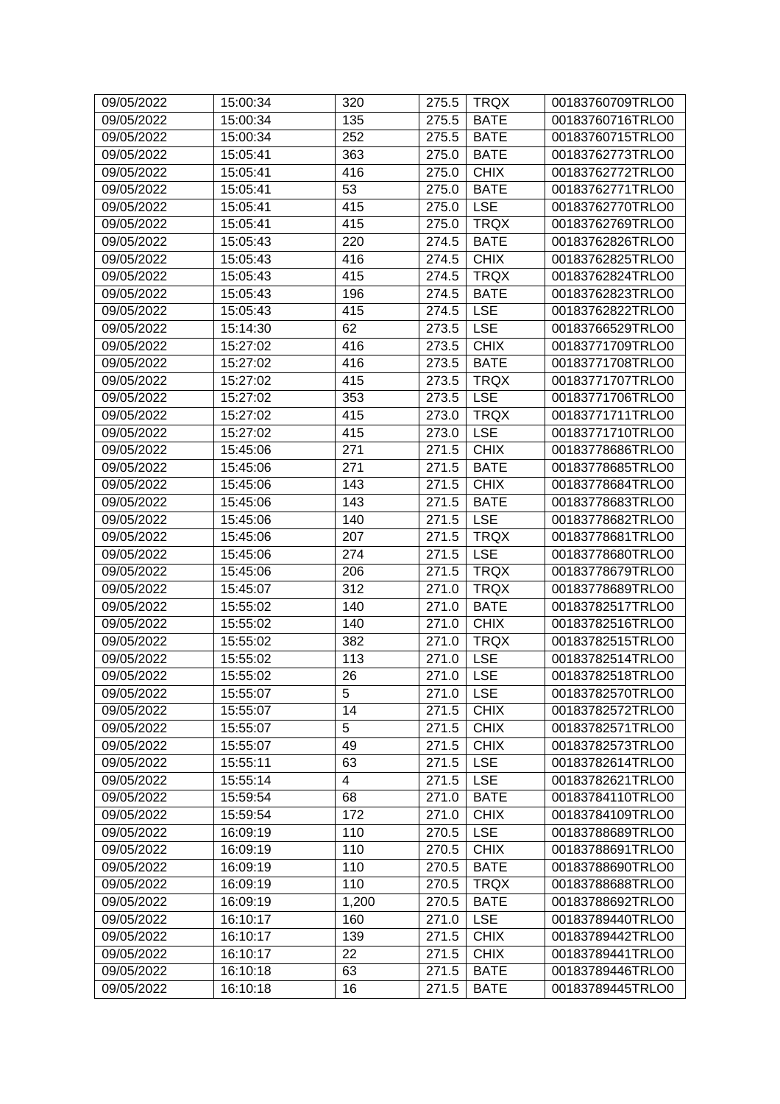| 09/05/2022 | 15:00:34 | 320            | 275.5 | <b>TRQX</b> | 00183760709TRLO0                     |
|------------|----------|----------------|-------|-------------|--------------------------------------|
| 09/05/2022 | 15:00:34 | 135            | 275.5 | <b>BATE</b> | 00183760716TRLO0                     |
| 09/05/2022 | 15:00:34 | 252            | 275.5 | <b>BATE</b> | 00183760715TRLO0                     |
| 09/05/2022 | 15:05:41 | 363            | 275.0 | <b>BATE</b> | 00183762773TRLO0                     |
| 09/05/2022 | 15:05:41 | 416            | 275.0 | <b>CHIX</b> | 00183762772TRLO0                     |
| 09/05/2022 | 15:05:41 | 53             | 275.0 | <b>BATE</b> | 00183762771TRLO0                     |
| 09/05/2022 | 15:05:41 | 415            | 275.0 | <b>LSE</b>  | 00183762770TRLO0                     |
| 09/05/2022 | 15:05:41 | 415            | 275.0 | <b>TRQX</b> | 00183762769TRLO0                     |
| 09/05/2022 | 15:05:43 | 220            | 274.5 | <b>BATE</b> | 00183762826TRLO0                     |
| 09/05/2022 | 15:05:43 | 416            | 274.5 | <b>CHIX</b> | 00183762825TRLO0                     |
| 09/05/2022 | 15:05:43 | 415            | 274.5 | <b>TRQX</b> | 00183762824TRLO0                     |
| 09/05/2022 | 15:05:43 | 196            | 274.5 | <b>BATE</b> | 00183762823TRLO0                     |
| 09/05/2022 | 15:05:43 | 415            | 274.5 | <b>LSE</b>  | 00183762822TRLO0                     |
| 09/05/2022 | 15:14:30 | 62             | 273.5 | <b>LSE</b>  | 00183766529TRLO0                     |
| 09/05/2022 | 15:27:02 | 416            | 273.5 | <b>CHIX</b> | 00183771709TRLO0                     |
| 09/05/2022 | 15:27:02 | 416            | 273.5 | <b>BATE</b> | 00183771708TRLO0                     |
| 09/05/2022 | 15:27:02 | 415            | 273.5 | <b>TRQX</b> | 00183771707TRLO0                     |
| 09/05/2022 | 15:27:02 | 353            | 273.5 | <b>LSE</b>  | 00183771706TRLO0                     |
| 09/05/2022 | 15:27:02 | 415            | 273.0 | <b>TRQX</b> | 00183771711TRLO0                     |
| 09/05/2022 | 15:27:02 | 415            | 273.0 | <b>LSE</b>  | 00183771710TRLO0                     |
| 09/05/2022 | 15:45:06 | 271            | 271.5 | <b>CHIX</b> | 00183778686TRLO0                     |
| 09/05/2022 | 15:45:06 | 271            | 271.5 | <b>BATE</b> | 00183778685TRLO0                     |
| 09/05/2022 | 15:45:06 | 143            | 271.5 | <b>CHIX</b> | 00183778684TRLO0                     |
| 09/05/2022 | 15:45:06 | 143            | 271.5 | <b>BATE</b> | 00183778683TRLO0                     |
| 09/05/2022 | 15:45:06 | 140            | 271.5 | <b>LSE</b>  | 00183778682TRLO0                     |
| 09/05/2022 | 15:45:06 | 207            | 271.5 | <b>TRQX</b> | 00183778681TRLO0                     |
| 09/05/2022 | 15:45:06 | 274            | 271.5 | <b>LSE</b>  | 00183778680TRLO0                     |
| 09/05/2022 | 15:45:06 | 206            | 271.5 | <b>TRQX</b> | 00183778679TRLO0                     |
| 09/05/2022 | 15:45:07 | 312            | 271.0 | <b>TRQX</b> | 00183778689TRLO0                     |
| 09/05/2022 | 15:55:02 | 140            | 271.0 | <b>BATE</b> | 00183782517TRLO0                     |
| 09/05/2022 | 15:55:02 | 140            | 271.0 | <b>CHIX</b> | 00183782516TRLO0                     |
| 09/05/2022 | 15:55:02 | 382            | 271.0 | <b>TRQX</b> | 00183782515TRLO0                     |
| 09/05/2022 | 15:55:02 | 113            | 271.0 | <b>LSE</b>  | 00183782514TRLO0                     |
| 09/05/2022 | 15:55:02 | 26             | 271.0 | <b>LSE</b>  |                                      |
| 09/05/2022 |          | 5              |       | <b>LSE</b>  | 00183782518TRLO0<br>00183782570TRLO0 |
|            | 15:55:07 | 14             | 271.0 | <b>CHIX</b> | 00183782572TRLO0                     |
| 09/05/2022 | 15:55:07 | $\overline{5}$ | 271.5 |             |                                      |
| 09/05/2022 | 15:55:07 |                | 271.5 | <b>CHIX</b> | 00183782571TRLO0                     |
| 09/05/2022 | 15:55:07 | 49             | 271.5 | <b>CHIX</b> | 00183782573TRLO0                     |
| 09/05/2022 | 15:55:11 | 63             | 271.5 | <b>LSE</b>  | 00183782614TRLO0                     |
| 09/05/2022 | 15:55:14 | $\overline{4}$ | 271.5 | <b>LSE</b>  | 00183782621TRLO0                     |
| 09/05/2022 | 15:59:54 | 68             | 271.0 | <b>BATE</b> | 00183784110TRLO0                     |
| 09/05/2022 | 15:59:54 | 172            | 271.0 | <b>CHIX</b> | 00183784109TRLO0                     |
| 09/05/2022 | 16:09:19 | 110            | 270.5 | <b>LSE</b>  | 00183788689TRLO0                     |
| 09/05/2022 | 16:09:19 | 110            | 270.5 | <b>CHIX</b> | 00183788691TRLO0                     |
| 09/05/2022 | 16:09:19 | 110            | 270.5 | <b>BATE</b> | 00183788690TRLO0                     |
| 09/05/2022 | 16:09:19 | 110            | 270.5 | <b>TRQX</b> | 00183788688TRLO0                     |
| 09/05/2022 | 16:09:19 | 1,200          | 270.5 | <b>BATE</b> | 00183788692TRLO0                     |
| 09/05/2022 | 16:10:17 | 160            | 271.0 | <b>LSE</b>  | 00183789440TRLO0                     |
| 09/05/2022 | 16:10:17 | 139            | 271.5 | <b>CHIX</b> | 00183789442TRLO0                     |
| 09/05/2022 | 16:10:17 | 22             | 271.5 | <b>CHIX</b> | 00183789441TRLO0                     |
| 09/05/2022 | 16:10:18 | 63             | 271.5 | <b>BATE</b> | 00183789446TRLO0                     |
| 09/05/2022 | 16:10:18 | 16             | 271.5 | <b>BATE</b> | 00183789445TRLO0                     |